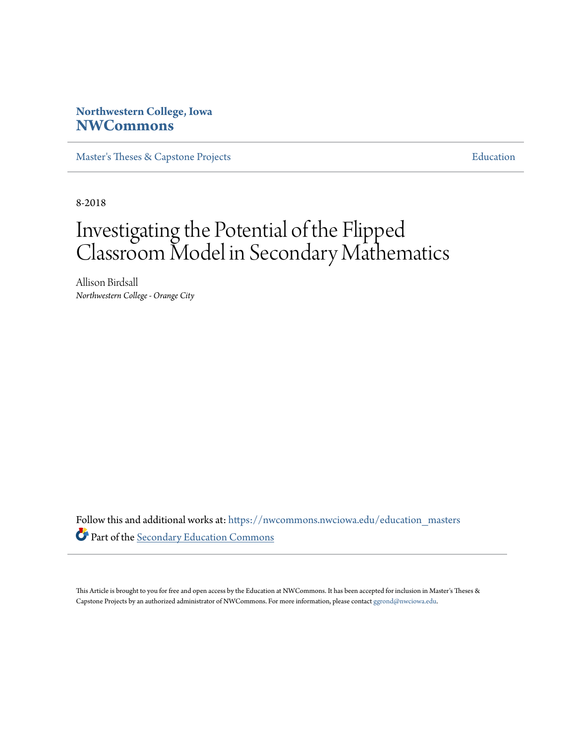# **Northwestern College, Iowa [NWCommons](https://nwcommons.nwciowa.edu?utm_source=nwcommons.nwciowa.edu%2Feducation_masters%2F119&utm_medium=PDF&utm_campaign=PDFCoverPages)**

[Master's Theses & Capstone Projects](https://nwcommons.nwciowa.edu/education_masters?utm_source=nwcommons.nwciowa.edu%2Feducation_masters%2F119&utm_medium=PDF&utm_campaign=PDFCoverPages) **[Education](https://nwcommons.nwciowa.edu/education?utm_source=nwcommons.nwciowa.edu%2Feducation_masters%2F119&utm_medium=PDF&utm_campaign=PDFCoverPages)** 

8-2018

# Investigating the Potential of the Flipped Classroom Model in Secondary Mathematics

Allison Birdsall *Northwestern College - Orange City*

Follow this and additional works at: [https://nwcommons.nwciowa.edu/education\\_masters](https://nwcommons.nwciowa.edu/education_masters?utm_source=nwcommons.nwciowa.edu%2Feducation_masters%2F119&utm_medium=PDF&utm_campaign=PDFCoverPages) Part of the [Secondary Education Commons](http://network.bepress.com/hgg/discipline/1382?utm_source=nwcommons.nwciowa.edu%2Feducation_masters%2F119&utm_medium=PDF&utm_campaign=PDFCoverPages)

This Article is brought to you for free and open access by the Education at NWCommons. It has been accepted for inclusion in Master's Theses & Capstone Projects by an authorized administrator of NWCommons. For more information, please contact [ggrond@nwciowa.edu.](mailto:ggrond@nwciowa.edu)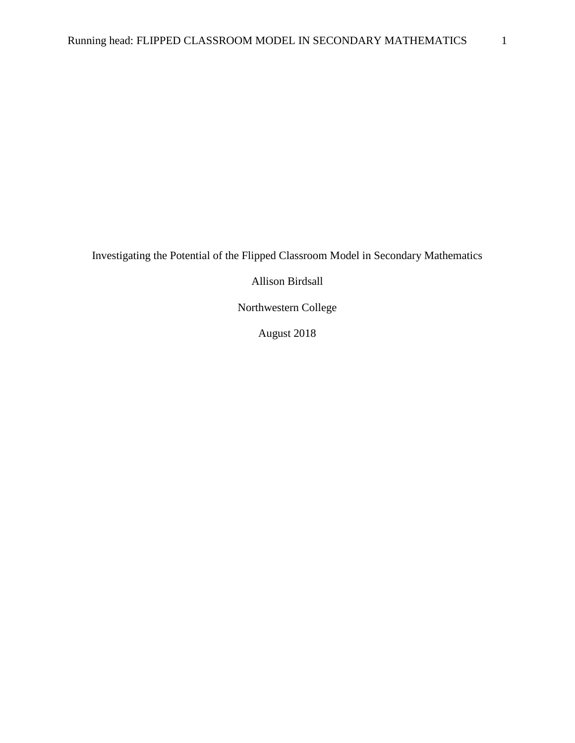Investigating the Potential of the Flipped Classroom Model in Secondary Mathematics

Allison Birdsall

Northwestern College

August 2018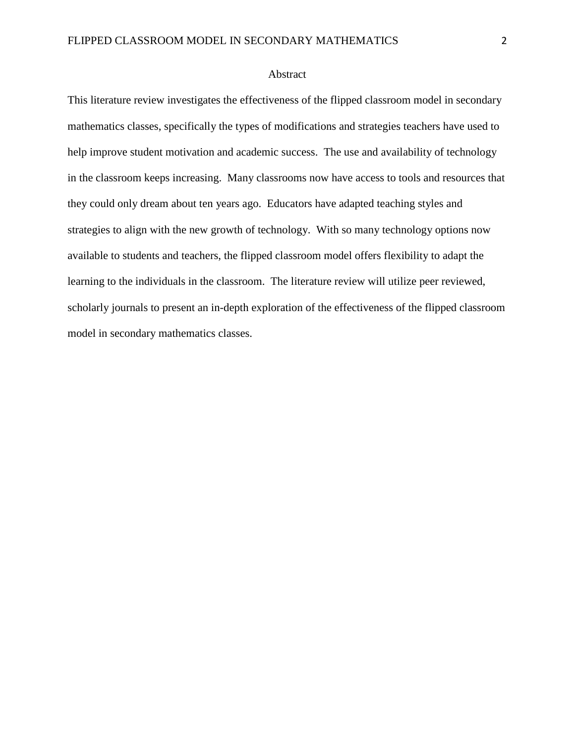# Abstract

This literature review investigates the effectiveness of the flipped classroom model in secondary mathematics classes, specifically the types of modifications and strategies teachers have used to help improve student motivation and academic success. The use and availability of technology in the classroom keeps increasing. Many classrooms now have access to tools and resources that they could only dream about ten years ago. Educators have adapted teaching styles and strategies to align with the new growth of technology. With so many technology options now available to students and teachers, the flipped classroom model offers flexibility to adapt the learning to the individuals in the classroom. The literature review will utilize peer reviewed, scholarly journals to present an in-depth exploration of the effectiveness of the flipped classroom model in secondary mathematics classes.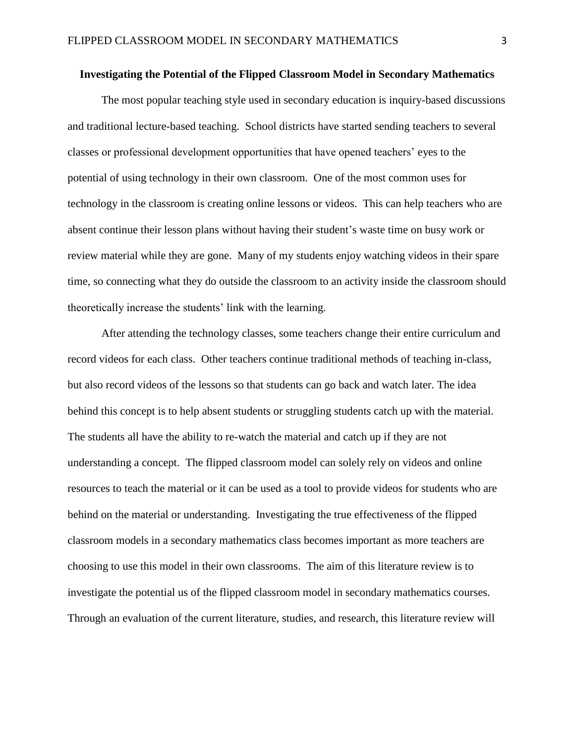#### **Investigating the Potential of the Flipped Classroom Model in Secondary Mathematics**

The most popular teaching style used in secondary education is inquiry-based discussions and traditional lecture-based teaching. School districts have started sending teachers to several classes or professional development opportunities that have opened teachers' eyes to the potential of using technology in their own classroom. One of the most common uses for technology in the classroom is creating online lessons or videos. This can help teachers who are absent continue their lesson plans without having their student's waste time on busy work or review material while they are gone. Many of my students enjoy watching videos in their spare time, so connecting what they do outside the classroom to an activity inside the classroom should theoretically increase the students' link with the learning.

After attending the technology classes, some teachers change their entire curriculum and record videos for each class. Other teachers continue traditional methods of teaching in-class, but also record videos of the lessons so that students can go back and watch later. The idea behind this concept is to help absent students or struggling students catch up with the material. The students all have the ability to re-watch the material and catch up if they are not understanding a concept. The flipped classroom model can solely rely on videos and online resources to teach the material or it can be used as a tool to provide videos for students who are behind on the material or understanding. Investigating the true effectiveness of the flipped classroom models in a secondary mathematics class becomes important as more teachers are choosing to use this model in their own classrooms. The aim of this literature review is to investigate the potential us of the flipped classroom model in secondary mathematics courses. Through an evaluation of the current literature, studies, and research, this literature review will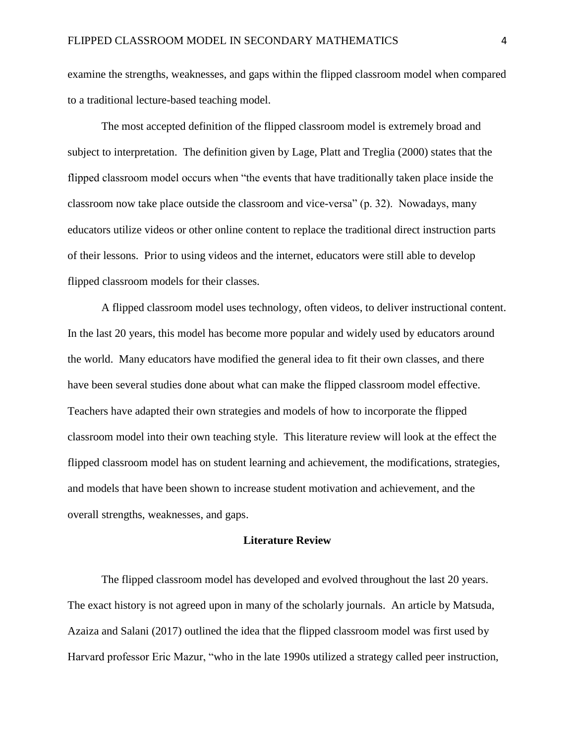examine the strengths, weaknesses, and gaps within the flipped classroom model when compared to a traditional lecture-based teaching model.

The most accepted definition of the flipped classroom model is extremely broad and subject to interpretation. The definition given by Lage, Platt and Treglia (2000) states that the flipped classroom model occurs when "the events that have traditionally taken place inside the classroom now take place outside the classroom and vice-versa" (p. 32). Nowadays, many educators utilize videos or other online content to replace the traditional direct instruction parts of their lessons. Prior to using videos and the internet, educators were still able to develop flipped classroom models for their classes.

A flipped classroom model uses technology, often videos, to deliver instructional content. In the last 20 years, this model has become more popular and widely used by educators around the world. Many educators have modified the general idea to fit their own classes, and there have been several studies done about what can make the flipped classroom model effective. Teachers have adapted their own strategies and models of how to incorporate the flipped classroom model into their own teaching style. This literature review will look at the effect the flipped classroom model has on student learning and achievement, the modifications, strategies, and models that have been shown to increase student motivation and achievement, and the overall strengths, weaknesses, and gaps.

# **Literature Review**

The flipped classroom model has developed and evolved throughout the last 20 years. The exact history is not agreed upon in many of the scholarly journals. An article by Matsuda, Azaiza and Salani (2017) outlined the idea that the flipped classroom model was first used by Harvard professor Eric Mazur, "who in the late 1990s utilized a strategy called peer instruction,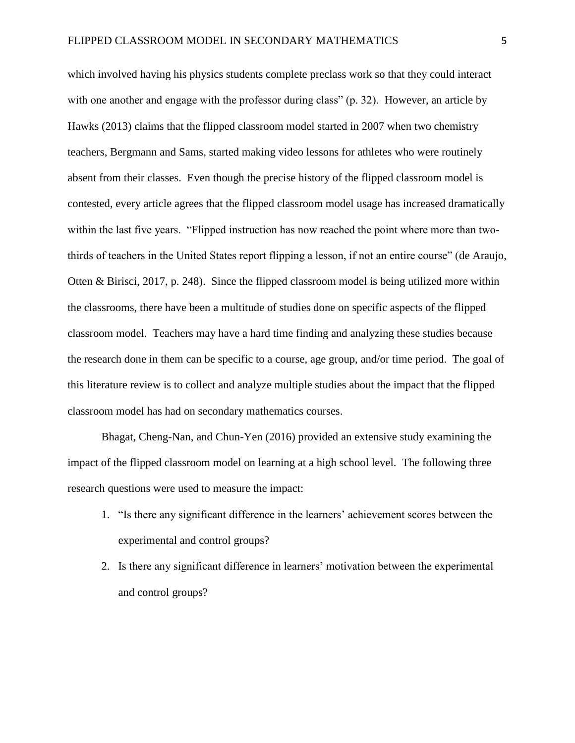which involved having his physics students complete preclass work so that they could interact with one another and engage with the professor during class" (p. 32). However, an article by Hawks (2013) claims that the flipped classroom model started in 2007 when two chemistry teachers, Bergmann and Sams, started making video lessons for athletes who were routinely absent from their classes. Even though the precise history of the flipped classroom model is contested, every article agrees that the flipped classroom model usage has increased dramatically within the last five years. "Flipped instruction has now reached the point where more than twothirds of teachers in the United States report flipping a lesson, if not an entire course" (de Araujo, Otten & Birisci, 2017, p. 248). Since the flipped classroom model is being utilized more within the classrooms, there have been a multitude of studies done on specific aspects of the flipped classroom model. Teachers may have a hard time finding and analyzing these studies because the research done in them can be specific to a course, age group, and/or time period. The goal of this literature review is to collect and analyze multiple studies about the impact that the flipped classroom model has had on secondary mathematics courses.

Bhagat, Cheng-Nan, and Chun-Yen (2016) provided an extensive study examining the impact of the flipped classroom model on learning at a high school level. The following three research questions were used to measure the impact:

- 1. "Is there any significant difference in the learners' achievement scores between the experimental and control groups?
- 2. Is there any significant difference in learners' motivation between the experimental and control groups?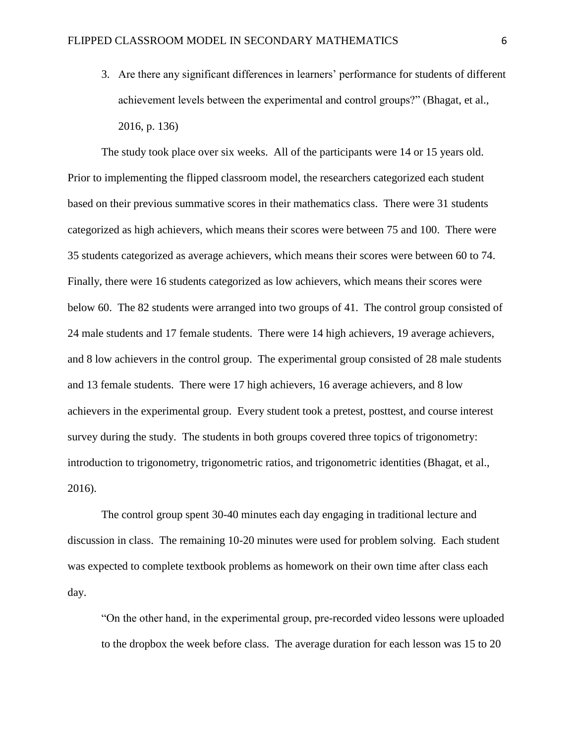3. Are there any significant differences in learners' performance for students of different achievement levels between the experimental and control groups?" (Bhagat, et al., 2016, p. 136)

The study took place over six weeks. All of the participants were 14 or 15 years old. Prior to implementing the flipped classroom model, the researchers categorized each student based on their previous summative scores in their mathematics class. There were 31 students categorized as high achievers, which means their scores were between 75 and 100. There were 35 students categorized as average achievers, which means their scores were between 60 to 74. Finally, there were 16 students categorized as low achievers, which means their scores were below 60. The 82 students were arranged into two groups of 41. The control group consisted of 24 male students and 17 female students. There were 14 high achievers, 19 average achievers, and 8 low achievers in the control group. The experimental group consisted of 28 male students and 13 female students. There were 17 high achievers, 16 average achievers, and 8 low achievers in the experimental group. Every student took a pretest, posttest, and course interest survey during the study. The students in both groups covered three topics of trigonometry: introduction to trigonometry, trigonometric ratios, and trigonometric identities (Bhagat, et al., 2016).

The control group spent 30-40 minutes each day engaging in traditional lecture and discussion in class. The remaining 10-20 minutes were used for problem solving. Each student was expected to complete textbook problems as homework on their own time after class each day.

"On the other hand, in the experimental group, pre-recorded video lessons were uploaded to the dropbox the week before class. The average duration for each lesson was 15 to 20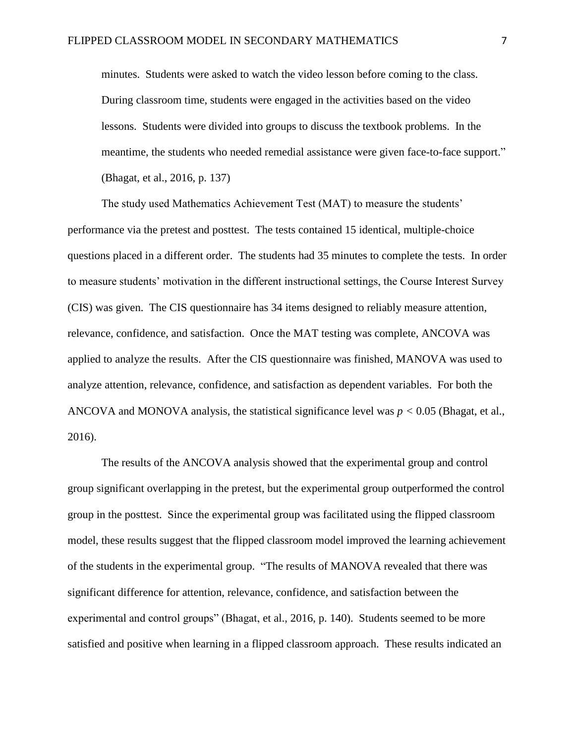minutes. Students were asked to watch the video lesson before coming to the class. During classroom time, students were engaged in the activities based on the video lessons. Students were divided into groups to discuss the textbook problems. In the meantime, the students who needed remedial assistance were given face-to-face support." (Bhagat, et al., 2016, p. 137)

The study used Mathematics Achievement Test (MAT) to measure the students' performance via the pretest and posttest. The tests contained 15 identical, multiple-choice questions placed in a different order. The students had 35 minutes to complete the tests. In order to measure students' motivation in the different instructional settings, the Course Interest Survey (CIS) was given. The CIS questionnaire has 34 items designed to reliably measure attention, relevance, confidence, and satisfaction. Once the MAT testing was complete, ANCOVA was applied to analyze the results. After the CIS questionnaire was finished, MANOVA was used to analyze attention, relevance, confidence, and satisfaction as dependent variables. For both the ANCOVA and MONOVA analysis, the statistical significance level was  $p < 0.05$  (Bhagat, et al., 2016).

The results of the ANCOVA analysis showed that the experimental group and control group significant overlapping in the pretest, but the experimental group outperformed the control group in the posttest. Since the experimental group was facilitated using the flipped classroom model, these results suggest that the flipped classroom model improved the learning achievement of the students in the experimental group. "The results of MANOVA revealed that there was significant difference for attention, relevance, confidence, and satisfaction between the experimental and control groups" (Bhagat, et al., 2016, p. 140). Students seemed to be more satisfied and positive when learning in a flipped classroom approach. These results indicated an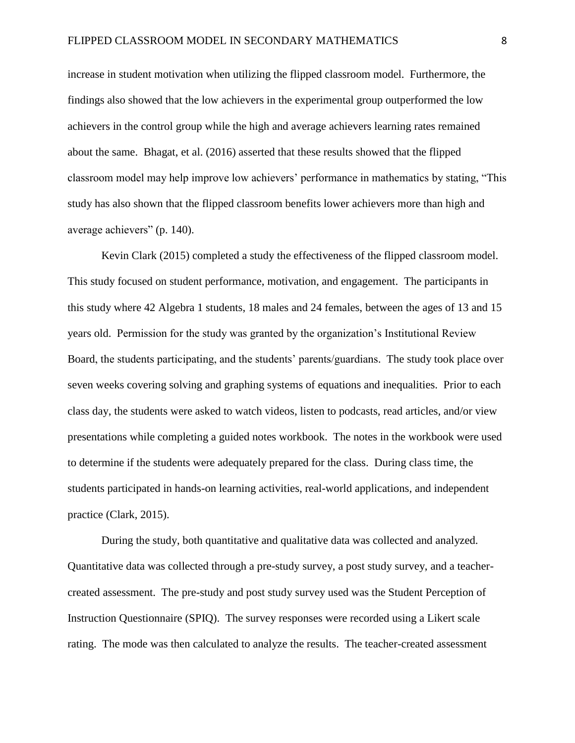increase in student motivation when utilizing the flipped classroom model. Furthermore, the findings also showed that the low achievers in the experimental group outperformed the low achievers in the control group while the high and average achievers learning rates remained about the same. Bhagat, et al. (2016) asserted that these results showed that the flipped classroom model may help improve low achievers' performance in mathematics by stating, "This study has also shown that the flipped classroom benefits lower achievers more than high and average achievers" (p. 140).

Kevin Clark (2015) completed a study the effectiveness of the flipped classroom model. This study focused on student performance, motivation, and engagement. The participants in this study where 42 Algebra 1 students, 18 males and 24 females, between the ages of 13 and 15 years old. Permission for the study was granted by the organization's Institutional Review Board, the students participating, and the students' parents/guardians. The study took place over seven weeks covering solving and graphing systems of equations and inequalities. Prior to each class day, the students were asked to watch videos, listen to podcasts, read articles, and/or view presentations while completing a guided notes workbook. The notes in the workbook were used to determine if the students were adequately prepared for the class. During class time, the students participated in hands-on learning activities, real-world applications, and independent practice (Clark, 2015).

During the study, both quantitative and qualitative data was collected and analyzed. Quantitative data was collected through a pre-study survey, a post study survey, and a teachercreated assessment. The pre-study and post study survey used was the Student Perception of Instruction Questionnaire (SPIQ). The survey responses were recorded using a Likert scale rating. The mode was then calculated to analyze the results. The teacher-created assessment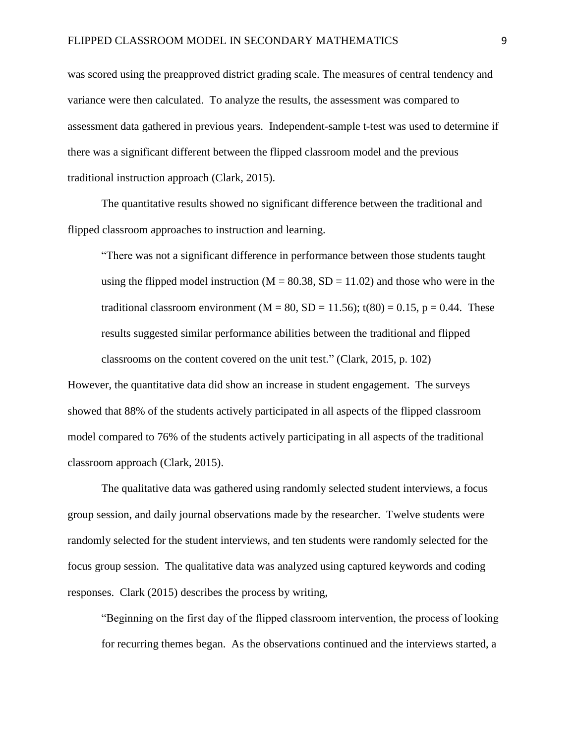was scored using the preapproved district grading scale. The measures of central tendency and variance were then calculated. To analyze the results, the assessment was compared to assessment data gathered in previous years. Independent-sample t-test was used to determine if there was a significant different between the flipped classroom model and the previous traditional instruction approach (Clark, 2015).

The quantitative results showed no significant difference between the traditional and flipped classroom approaches to instruction and learning.

"There was not a significant difference in performance between those students taught using the flipped model instruction ( $M = 80.38$ ,  $SD = 11.02$ ) and those who were in the traditional classroom environment ( $M = 80$ ,  $SD = 11.56$ ); t(80) = 0.15, p = 0.44. These results suggested similar performance abilities between the traditional and flipped classrooms on the content covered on the unit test." (Clark, 2015, p. 102)

However, the quantitative data did show an increase in student engagement. The surveys showed that 88% of the students actively participated in all aspects of the flipped classroom model compared to 76% of the students actively participating in all aspects of the traditional classroom approach (Clark, 2015).

The qualitative data was gathered using randomly selected student interviews, a focus group session, and daily journal observations made by the researcher. Twelve students were randomly selected for the student interviews, and ten students were randomly selected for the focus group session. The qualitative data was analyzed using captured keywords and coding responses. Clark (2015) describes the process by writing,

"Beginning on the first day of the flipped classroom intervention, the process of looking for recurring themes began. As the observations continued and the interviews started, a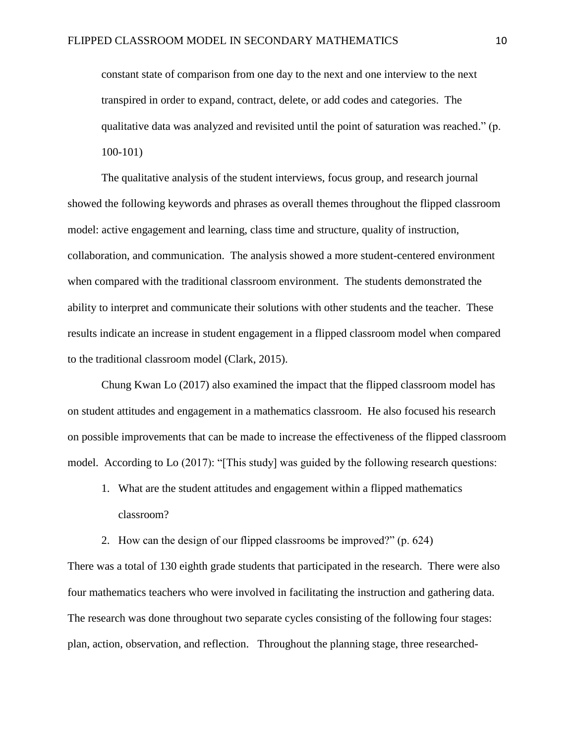constant state of comparison from one day to the next and one interview to the next transpired in order to expand, contract, delete, or add codes and categories. The qualitative data was analyzed and revisited until the point of saturation was reached." (p. 100-101)

The qualitative analysis of the student interviews, focus group, and research journal showed the following keywords and phrases as overall themes throughout the flipped classroom model: active engagement and learning, class time and structure, quality of instruction, collaboration, and communication. The analysis showed a more student-centered environment when compared with the traditional classroom environment. The students demonstrated the ability to interpret and communicate their solutions with other students and the teacher. These results indicate an increase in student engagement in a flipped classroom model when compared to the traditional classroom model (Clark, 2015).

Chung Kwan Lo (2017) also examined the impact that the flipped classroom model has on student attitudes and engagement in a mathematics classroom. He also focused his research on possible improvements that can be made to increase the effectiveness of the flipped classroom model. According to Lo (2017): "[This study] was guided by the following research questions:

- 1. What are the student attitudes and engagement within a flipped mathematics classroom?
- 2. How can the design of our flipped classrooms be improved?" (p. 624)

There was a total of 130 eighth grade students that participated in the research. There were also four mathematics teachers who were involved in facilitating the instruction and gathering data. The research was done throughout two separate cycles consisting of the following four stages: plan, action, observation, and reflection. Throughout the planning stage, three researched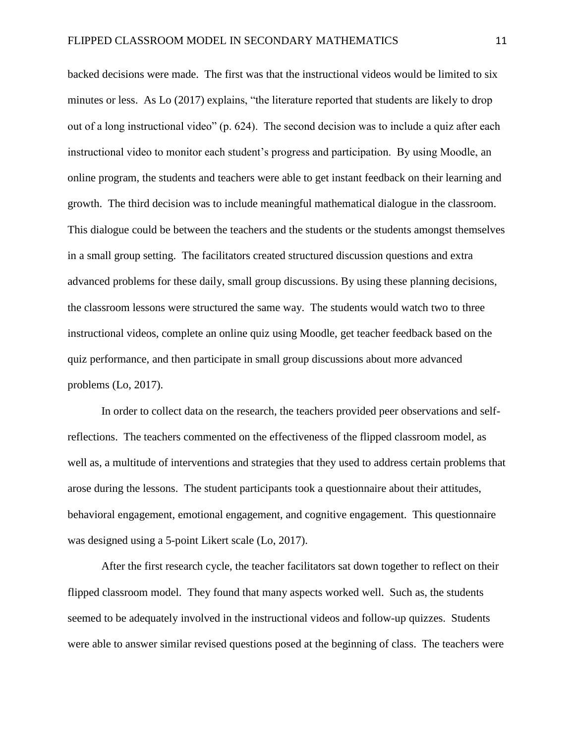backed decisions were made. The first was that the instructional videos would be limited to six minutes or less. As Lo (2017) explains, "the literature reported that students are likely to drop out of a long instructional video" (p. 624). The second decision was to include a quiz after each instructional video to monitor each student's progress and participation. By using Moodle, an online program, the students and teachers were able to get instant feedback on their learning and growth. The third decision was to include meaningful mathematical dialogue in the classroom. This dialogue could be between the teachers and the students or the students amongst themselves in a small group setting. The facilitators created structured discussion questions and extra advanced problems for these daily, small group discussions. By using these planning decisions, the classroom lessons were structured the same way. The students would watch two to three instructional videos, complete an online quiz using Moodle, get teacher feedback based on the quiz performance, and then participate in small group discussions about more advanced problems (Lo, 2017).

In order to collect data on the research, the teachers provided peer observations and selfreflections. The teachers commented on the effectiveness of the flipped classroom model, as well as, a multitude of interventions and strategies that they used to address certain problems that arose during the lessons. The student participants took a questionnaire about their attitudes, behavioral engagement, emotional engagement, and cognitive engagement. This questionnaire was designed using a 5-point Likert scale (Lo, 2017).

After the first research cycle, the teacher facilitators sat down together to reflect on their flipped classroom model. They found that many aspects worked well. Such as, the students seemed to be adequately involved in the instructional videos and follow-up quizzes. Students were able to answer similar revised questions posed at the beginning of class. The teachers were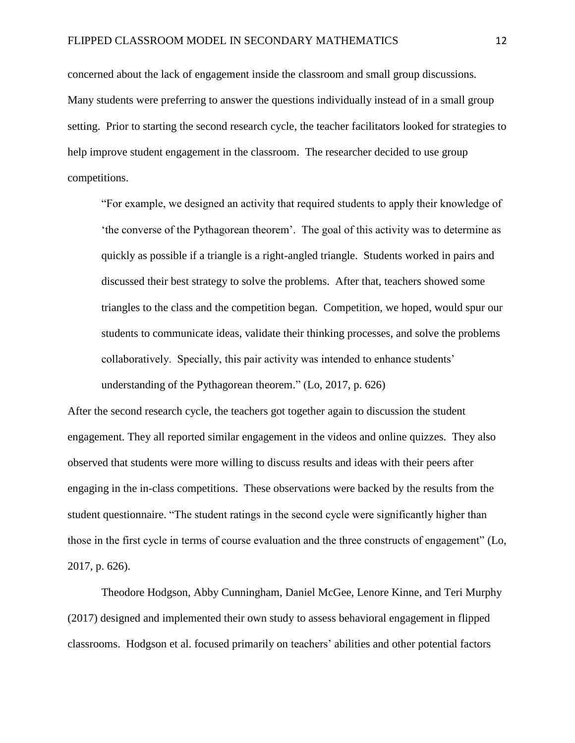concerned about the lack of engagement inside the classroom and small group discussions. Many students were preferring to answer the questions individually instead of in a small group setting. Prior to starting the second research cycle, the teacher facilitators looked for strategies to help improve student engagement in the classroom. The researcher decided to use group competitions.

"For example, we designed an activity that required students to apply their knowledge of 'the converse of the Pythagorean theorem'. The goal of this activity was to determine as quickly as possible if a triangle is a right-angled triangle. Students worked in pairs and discussed their best strategy to solve the problems. After that, teachers showed some triangles to the class and the competition began. Competition, we hoped, would spur our students to communicate ideas, validate their thinking processes, and solve the problems collaboratively. Specially, this pair activity was intended to enhance students' understanding of the Pythagorean theorem." (Lo, 2017, p. 626)

After the second research cycle, the teachers got together again to discussion the student engagement. They all reported similar engagement in the videos and online quizzes. They also observed that students were more willing to discuss results and ideas with their peers after engaging in the in-class competitions. These observations were backed by the results from the student questionnaire. "The student ratings in the second cycle were significantly higher than those in the first cycle in terms of course evaluation and the three constructs of engagement" (Lo, 2017, p. 626).

Theodore Hodgson, Abby Cunningham, Daniel McGee, Lenore Kinne, and Teri Murphy (2017) designed and implemented their own study to assess behavioral engagement in flipped classrooms. Hodgson et al. focused primarily on teachers' abilities and other potential factors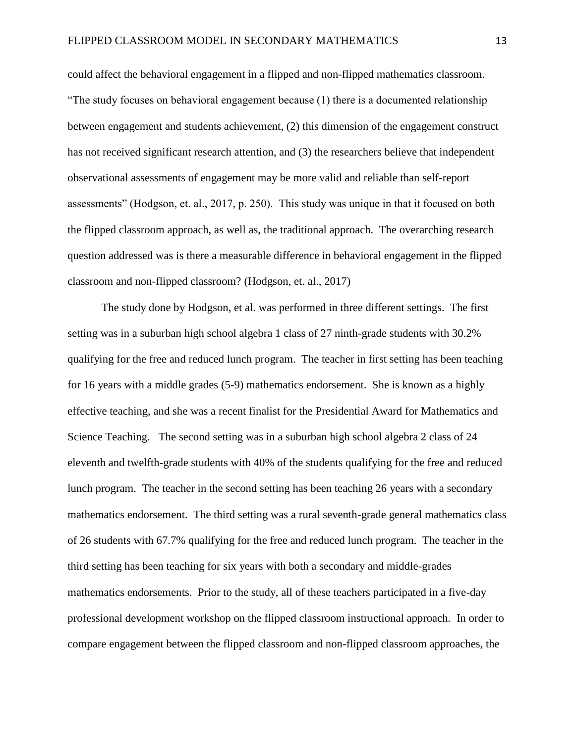could affect the behavioral engagement in a flipped and non-flipped mathematics classroom. "The study focuses on behavioral engagement because (1) there is a documented relationship between engagement and students achievement, (2) this dimension of the engagement construct has not received significant research attention, and (3) the researchers believe that independent observational assessments of engagement may be more valid and reliable than self-report assessments" (Hodgson, et. al., 2017, p. 250). This study was unique in that it focused on both the flipped classroom approach, as well as, the traditional approach. The overarching research question addressed was is there a measurable difference in behavioral engagement in the flipped classroom and non-flipped classroom? (Hodgson, et. al., 2017)

The study done by Hodgson, et al. was performed in three different settings. The first setting was in a suburban high school algebra 1 class of 27 ninth-grade students with 30.2% qualifying for the free and reduced lunch program. The teacher in first setting has been teaching for 16 years with a middle grades (5-9) mathematics endorsement. She is known as a highly effective teaching, and she was a recent finalist for the Presidential Award for Mathematics and Science Teaching. The second setting was in a suburban high school algebra 2 class of 24 eleventh and twelfth-grade students with 40% of the students qualifying for the free and reduced lunch program. The teacher in the second setting has been teaching 26 years with a secondary mathematics endorsement. The third setting was a rural seventh-grade general mathematics class of 26 students with 67.7% qualifying for the free and reduced lunch program. The teacher in the third setting has been teaching for six years with both a secondary and middle-grades mathematics endorsements. Prior to the study, all of these teachers participated in a five-day professional development workshop on the flipped classroom instructional approach. In order to compare engagement between the flipped classroom and non-flipped classroom approaches, the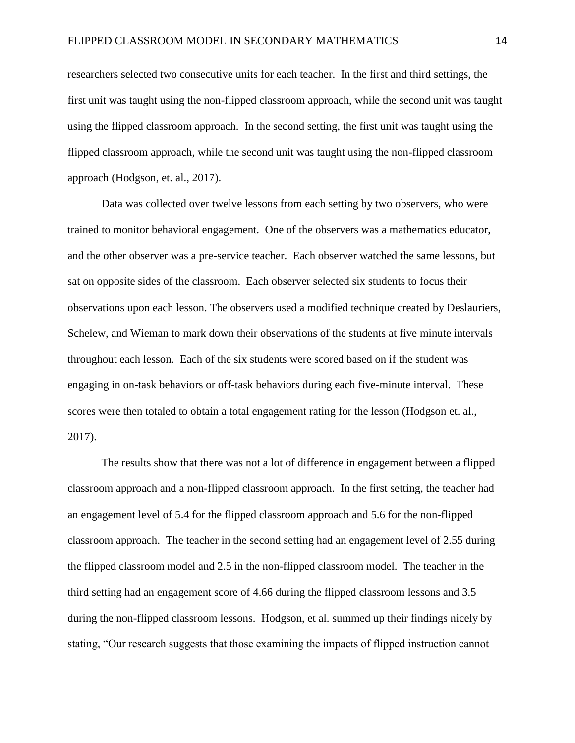researchers selected two consecutive units for each teacher. In the first and third settings, the first unit was taught using the non-flipped classroom approach, while the second unit was taught using the flipped classroom approach. In the second setting, the first unit was taught using the flipped classroom approach, while the second unit was taught using the non-flipped classroom approach (Hodgson, et. al., 2017).

Data was collected over twelve lessons from each setting by two observers, who were trained to monitor behavioral engagement. One of the observers was a mathematics educator, and the other observer was a pre-service teacher. Each observer watched the same lessons, but sat on opposite sides of the classroom. Each observer selected six students to focus their observations upon each lesson. The observers used a modified technique created by Deslauriers, Schelew, and Wieman to mark down their observations of the students at five minute intervals throughout each lesson. Each of the six students were scored based on if the student was engaging in on-task behaviors or off-task behaviors during each five-minute interval. These scores were then totaled to obtain a total engagement rating for the lesson (Hodgson et. al., 2017).

The results show that there was not a lot of difference in engagement between a flipped classroom approach and a non-flipped classroom approach. In the first setting, the teacher had an engagement level of 5.4 for the flipped classroom approach and 5.6 for the non-flipped classroom approach. The teacher in the second setting had an engagement level of 2.55 during the flipped classroom model and 2.5 in the non-flipped classroom model. The teacher in the third setting had an engagement score of 4.66 during the flipped classroom lessons and 3.5 during the non-flipped classroom lessons. Hodgson, et al. summed up their findings nicely by stating, "Our research suggests that those examining the impacts of flipped instruction cannot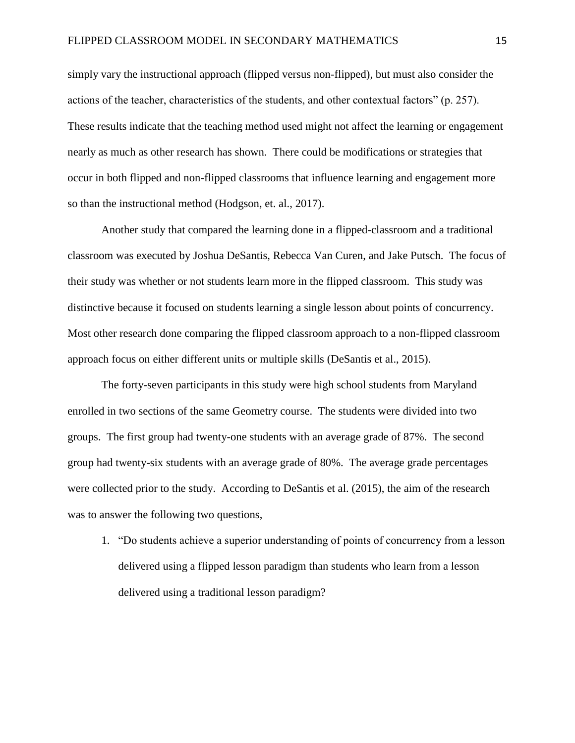simply vary the instructional approach (flipped versus non-flipped), but must also consider the actions of the teacher, characteristics of the students, and other contextual factors" (p. 257). These results indicate that the teaching method used might not affect the learning or engagement nearly as much as other research has shown. There could be modifications or strategies that occur in both flipped and non-flipped classrooms that influence learning and engagement more so than the instructional method (Hodgson, et. al., 2017).

Another study that compared the learning done in a flipped-classroom and a traditional classroom was executed by Joshua DeSantis, Rebecca Van Curen, and Jake Putsch. The focus of their study was whether or not students learn more in the flipped classroom. This study was distinctive because it focused on students learning a single lesson about points of concurrency. Most other research done comparing the flipped classroom approach to a non-flipped classroom approach focus on either different units or multiple skills (DeSantis et al., 2015).

The forty-seven participants in this study were high school students from Maryland enrolled in two sections of the same Geometry course. The students were divided into two groups. The first group had twenty-one students with an average grade of 87%. The second group had twenty-six students with an average grade of 80%. The average grade percentages were collected prior to the study. According to DeSantis et al. (2015), the aim of the research was to answer the following two questions,

1. "Do students achieve a superior understanding of points of concurrency from a lesson delivered using a flipped lesson paradigm than students who learn from a lesson delivered using a traditional lesson paradigm?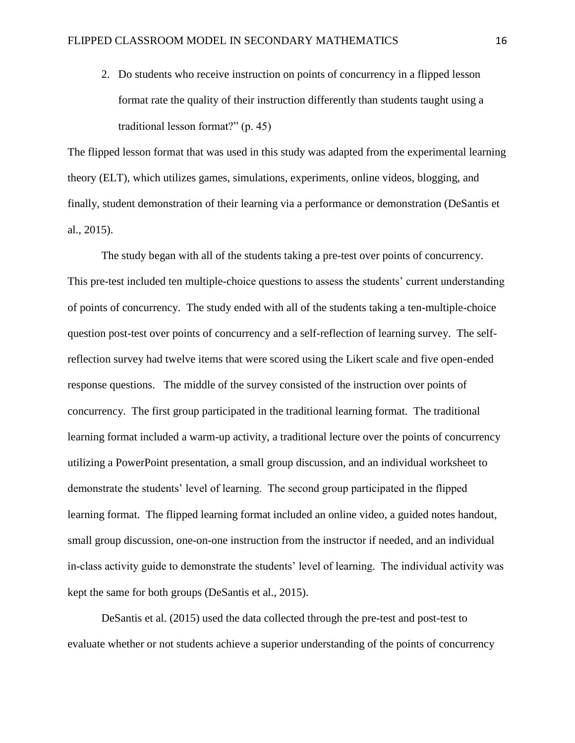2. Do students who receive instruction on points of concurrency in a flipped lesson format rate the quality of their instruction differently than students taught using a traditional lesson format?" (p. 45)

The flipped lesson format that was used in this study was adapted from the experimental learning theory (ELT), which utilizes games, simulations, experiments, online videos, blogging, and finally, student demonstration of their learning via a performance or demonstration (DeSantis et al., 2015).

The study began with all of the students taking a pre-test over points of concurrency. This pre-test included ten multiple-choice questions to assess the students' current understanding of points of concurrency. The study ended with all of the students taking a ten-multiple-choice question post-test over points of concurrency and a self-reflection of learning survey. The selfreflection survey had twelve items that were scored using the Likert scale and five open-ended response questions. The middle of the survey consisted of the instruction over points of concurrency. The first group participated in the traditional learning format. The traditional learning format included a warm-up activity, a traditional lecture over the points of concurrency utilizing a PowerPoint presentation, a small group discussion, and an individual worksheet to demonstrate the students' level of learning. The second group participated in the flipped learning format. The flipped learning format included an online video, a guided notes handout, small group discussion, one-on-one instruction from the instructor if needed, and an individual in-class activity guide to demonstrate the students' level of learning. The individual activity was kept the same for both groups (DeSantis et al., 2015).

DeSantis et al. (2015) used the data collected through the pre-test and post-test to evaluate whether or not students achieve a superior understanding of the points of concurrency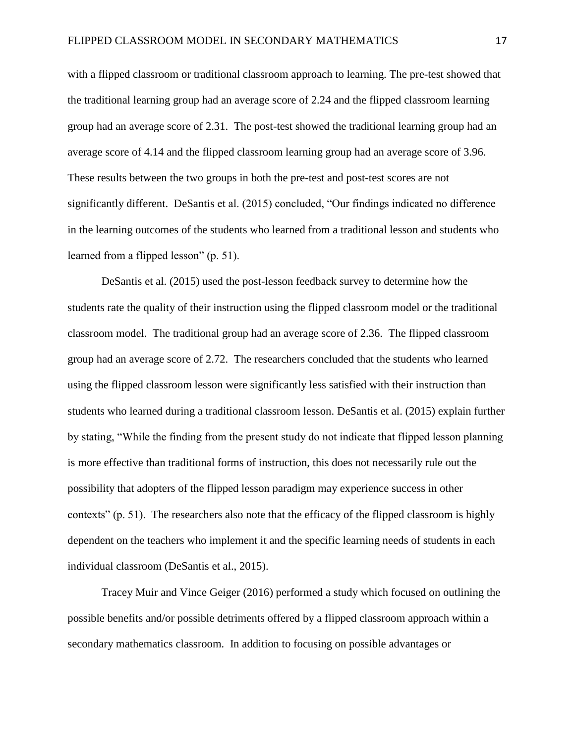with a flipped classroom or traditional classroom approach to learning. The pre-test showed that the traditional learning group had an average score of 2.24 and the flipped classroom learning group had an average score of 2.31. The post-test showed the traditional learning group had an average score of 4.14 and the flipped classroom learning group had an average score of 3.96. These results between the two groups in both the pre-test and post-test scores are not significantly different. DeSantis et al. (2015) concluded, "Our findings indicated no difference in the learning outcomes of the students who learned from a traditional lesson and students who learned from a flipped lesson" (p. 51).

DeSantis et al. (2015) used the post-lesson feedback survey to determine how the students rate the quality of their instruction using the flipped classroom model or the traditional classroom model. The traditional group had an average score of 2.36. The flipped classroom group had an average score of 2.72. The researchers concluded that the students who learned using the flipped classroom lesson were significantly less satisfied with their instruction than students who learned during a traditional classroom lesson. DeSantis et al. (2015) explain further by stating, "While the finding from the present study do not indicate that flipped lesson planning is more effective than traditional forms of instruction, this does not necessarily rule out the possibility that adopters of the flipped lesson paradigm may experience success in other contexts" (p. 51). The researchers also note that the efficacy of the flipped classroom is highly dependent on the teachers who implement it and the specific learning needs of students in each individual classroom (DeSantis et al., 2015).

Tracey Muir and Vince Geiger (2016) performed a study which focused on outlining the possible benefits and/or possible detriments offered by a flipped classroom approach within a secondary mathematics classroom. In addition to focusing on possible advantages or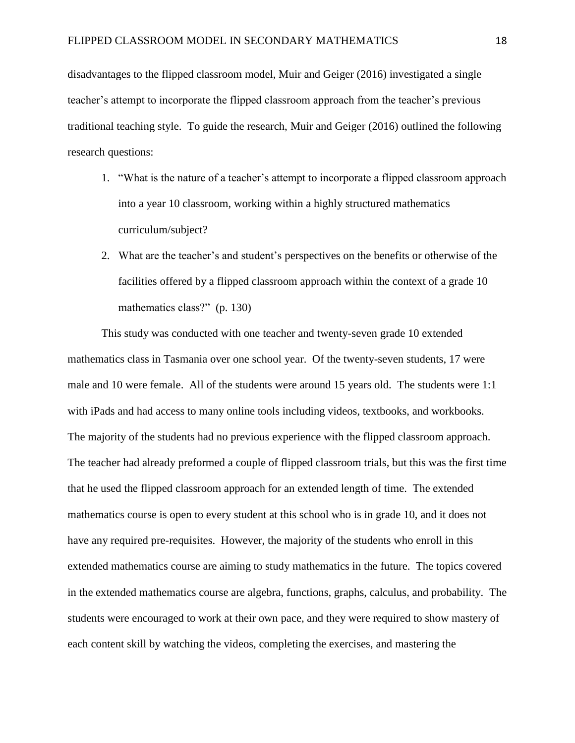disadvantages to the flipped classroom model, Muir and Geiger (2016) investigated a single teacher's attempt to incorporate the flipped classroom approach from the teacher's previous traditional teaching style. To guide the research, Muir and Geiger (2016) outlined the following research questions:

- 1. "What is the nature of a teacher's attempt to incorporate a flipped classroom approach into a year 10 classroom, working within a highly structured mathematics curriculum/subject?
- 2. What are the teacher's and student's perspectives on the benefits or otherwise of the facilities offered by a flipped classroom approach within the context of a grade 10 mathematics class?" (p. 130)

This study was conducted with one teacher and twenty-seven grade 10 extended mathematics class in Tasmania over one school year. Of the twenty-seven students, 17 were male and 10 were female. All of the students were around 15 years old. The students were 1:1 with iPads and had access to many online tools including videos, textbooks, and workbooks. The majority of the students had no previous experience with the flipped classroom approach. The teacher had already preformed a couple of flipped classroom trials, but this was the first time that he used the flipped classroom approach for an extended length of time. The extended mathematics course is open to every student at this school who is in grade 10, and it does not have any required pre-requisites. However, the majority of the students who enroll in this extended mathematics course are aiming to study mathematics in the future. The topics covered in the extended mathematics course are algebra, functions, graphs, calculus, and probability. The students were encouraged to work at their own pace, and they were required to show mastery of each content skill by watching the videos, completing the exercises, and mastering the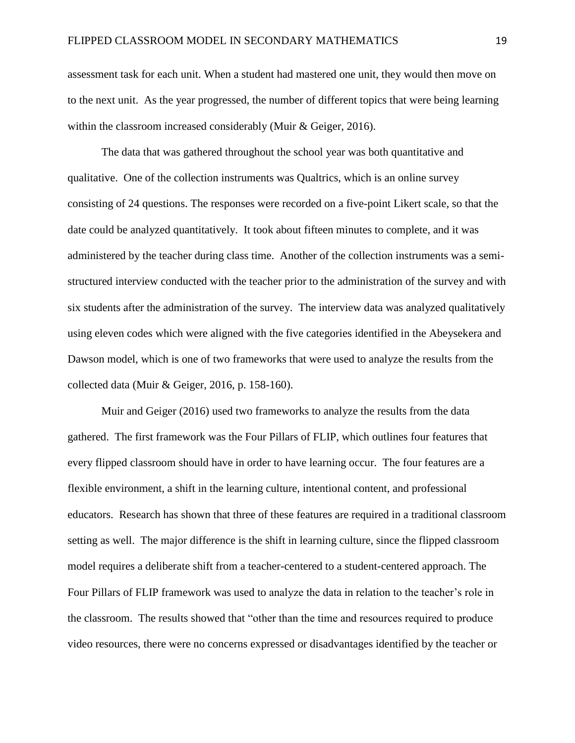assessment task for each unit. When a student had mastered one unit, they would then move on to the next unit. As the year progressed, the number of different topics that were being learning within the classroom increased considerably (Muir & Geiger, 2016).

The data that was gathered throughout the school year was both quantitative and qualitative. One of the collection instruments was Qualtrics, which is an online survey consisting of 24 questions. The responses were recorded on a five-point Likert scale, so that the date could be analyzed quantitatively. It took about fifteen minutes to complete, and it was administered by the teacher during class time. Another of the collection instruments was a semistructured interview conducted with the teacher prior to the administration of the survey and with six students after the administration of the survey. The interview data was analyzed qualitatively using eleven codes which were aligned with the five categories identified in the Abeysekera and Dawson model, which is one of two frameworks that were used to analyze the results from the collected data (Muir & Geiger, 2016, p. 158-160).

Muir and Geiger (2016) used two frameworks to analyze the results from the data gathered. The first framework was the Four Pillars of FLIP, which outlines four features that every flipped classroom should have in order to have learning occur. The four features are a flexible environment, a shift in the learning culture, intentional content, and professional educators. Research has shown that three of these features are required in a traditional classroom setting as well. The major difference is the shift in learning culture, since the flipped classroom model requires a deliberate shift from a teacher-centered to a student-centered approach. The Four Pillars of FLIP framework was used to analyze the data in relation to the teacher's role in the classroom. The results showed that "other than the time and resources required to produce video resources, there were no concerns expressed or disadvantages identified by the teacher or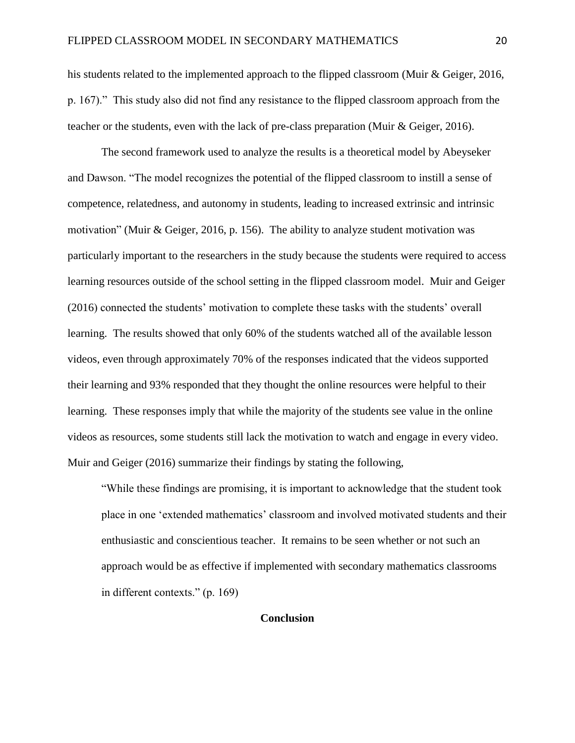his students related to the implemented approach to the flipped classroom (Muir & Geiger, 2016, p. 167)." This study also did not find any resistance to the flipped classroom approach from the teacher or the students, even with the lack of pre-class preparation (Muir & Geiger, 2016).

The second framework used to analyze the results is a theoretical model by Abeyseker and Dawson. "The model recognizes the potential of the flipped classroom to instill a sense of competence, relatedness, and autonomy in students, leading to increased extrinsic and intrinsic motivation" (Muir & Geiger, 2016, p. 156). The ability to analyze student motivation was particularly important to the researchers in the study because the students were required to access learning resources outside of the school setting in the flipped classroom model. Muir and Geiger (2016) connected the students' motivation to complete these tasks with the students' overall learning. The results showed that only 60% of the students watched all of the available lesson videos, even through approximately 70% of the responses indicated that the videos supported their learning and 93% responded that they thought the online resources were helpful to their learning. These responses imply that while the majority of the students see value in the online videos as resources, some students still lack the motivation to watch and engage in every video. Muir and Geiger (2016) summarize their findings by stating the following,

"While these findings are promising, it is important to acknowledge that the student took place in one 'extended mathematics' classroom and involved motivated students and their enthusiastic and conscientious teacher. It remains to be seen whether or not such an approach would be as effective if implemented with secondary mathematics classrooms in different contexts." (p. 169)

# **Conclusion**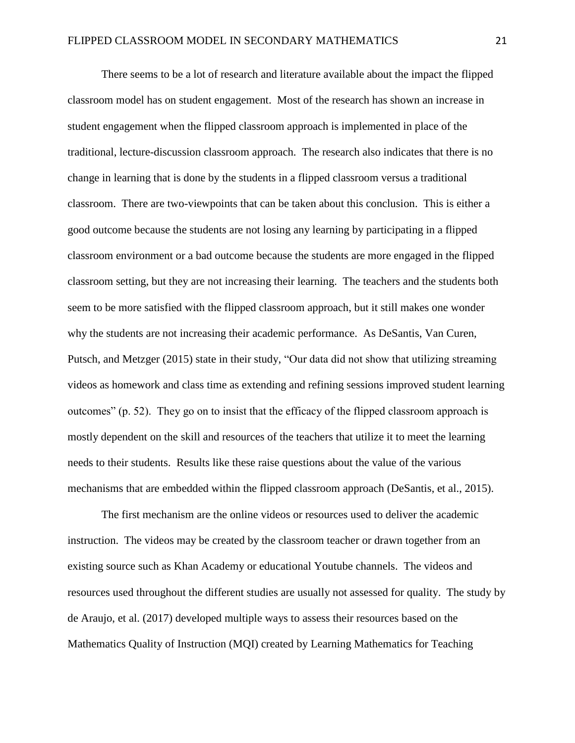There seems to be a lot of research and literature available about the impact the flipped classroom model has on student engagement. Most of the research has shown an increase in student engagement when the flipped classroom approach is implemented in place of the traditional, lecture-discussion classroom approach. The research also indicates that there is no change in learning that is done by the students in a flipped classroom versus a traditional classroom. There are two-viewpoints that can be taken about this conclusion. This is either a good outcome because the students are not losing any learning by participating in a flipped classroom environment or a bad outcome because the students are more engaged in the flipped classroom setting, but they are not increasing their learning. The teachers and the students both seem to be more satisfied with the flipped classroom approach, but it still makes one wonder why the students are not increasing their academic performance. As DeSantis, Van Curen, Putsch, and Metzger (2015) state in their study, "Our data did not show that utilizing streaming videos as homework and class time as extending and refining sessions improved student learning outcomes" (p. 52). They go on to insist that the efficacy of the flipped classroom approach is mostly dependent on the skill and resources of the teachers that utilize it to meet the learning needs to their students. Results like these raise questions about the value of the various mechanisms that are embedded within the flipped classroom approach (DeSantis, et al., 2015).

The first mechanism are the online videos or resources used to deliver the academic instruction. The videos may be created by the classroom teacher or drawn together from an existing source such as Khan Academy or educational Youtube channels. The videos and resources used throughout the different studies are usually not assessed for quality. The study by de Araujo, et al. (2017) developed multiple ways to assess their resources based on the Mathematics Quality of Instruction (MQI) created by Learning Mathematics for Teaching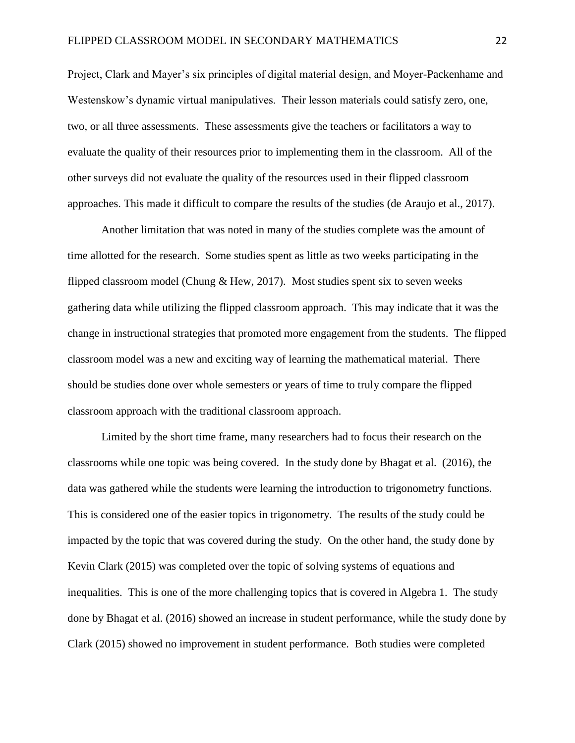Project, Clark and Mayer's six principles of digital material design, and Moyer-Packenhame and Westenskow's dynamic virtual manipulatives. Their lesson materials could satisfy zero, one, two, or all three assessments. These assessments give the teachers or facilitators a way to evaluate the quality of their resources prior to implementing them in the classroom. All of the other surveys did not evaluate the quality of the resources used in their flipped classroom approaches. This made it difficult to compare the results of the studies (de Araujo et al., 2017).

Another limitation that was noted in many of the studies complete was the amount of time allotted for the research. Some studies spent as little as two weeks participating in the flipped classroom model (Chung  $\&$  Hew, 2017). Most studies spent six to seven weeks gathering data while utilizing the flipped classroom approach. This may indicate that it was the change in instructional strategies that promoted more engagement from the students. The flipped classroom model was a new and exciting way of learning the mathematical material. There should be studies done over whole semesters or years of time to truly compare the flipped classroom approach with the traditional classroom approach.

Limited by the short time frame, many researchers had to focus their research on the classrooms while one topic was being covered. In the study done by Bhagat et al. (2016), the data was gathered while the students were learning the introduction to trigonometry functions. This is considered one of the easier topics in trigonometry. The results of the study could be impacted by the topic that was covered during the study. On the other hand, the study done by Kevin Clark (2015) was completed over the topic of solving systems of equations and inequalities. This is one of the more challenging topics that is covered in Algebra 1. The study done by Bhagat et al. (2016) showed an increase in student performance, while the study done by Clark (2015) showed no improvement in student performance. Both studies were completed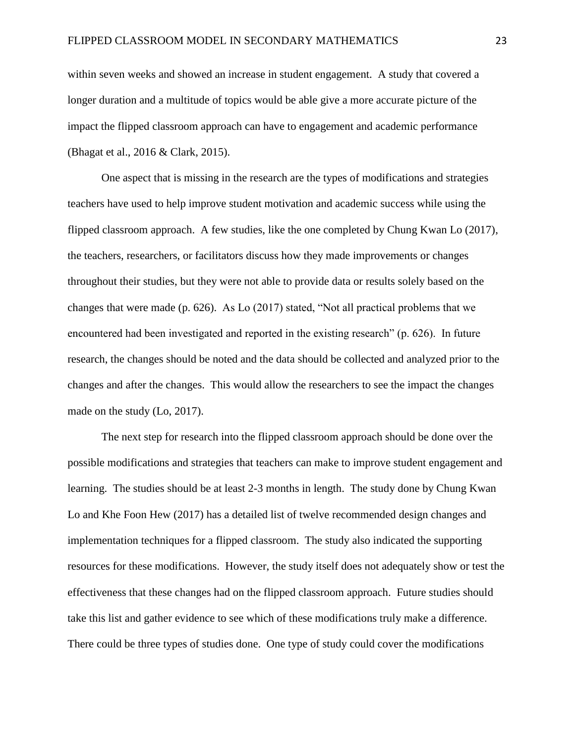within seven weeks and showed an increase in student engagement. A study that covered a longer duration and a multitude of topics would be able give a more accurate picture of the impact the flipped classroom approach can have to engagement and academic performance (Bhagat et al., 2016 & Clark, 2015).

One aspect that is missing in the research are the types of modifications and strategies teachers have used to help improve student motivation and academic success while using the flipped classroom approach. A few studies, like the one completed by Chung Kwan Lo (2017), the teachers, researchers, or facilitators discuss how they made improvements or changes throughout their studies, but they were not able to provide data or results solely based on the changes that were made (p. 626). As Lo (2017) stated, "Not all practical problems that we encountered had been investigated and reported in the existing research" (p. 626). In future research, the changes should be noted and the data should be collected and analyzed prior to the changes and after the changes. This would allow the researchers to see the impact the changes made on the study (Lo, 2017).

The next step for research into the flipped classroom approach should be done over the possible modifications and strategies that teachers can make to improve student engagement and learning. The studies should be at least 2-3 months in length. The study done by Chung Kwan Lo and Khe Foon Hew (2017) has a detailed list of twelve recommended design changes and implementation techniques for a flipped classroom. The study also indicated the supporting resources for these modifications. However, the study itself does not adequately show or test the effectiveness that these changes had on the flipped classroom approach. Future studies should take this list and gather evidence to see which of these modifications truly make a difference. There could be three types of studies done. One type of study could cover the modifications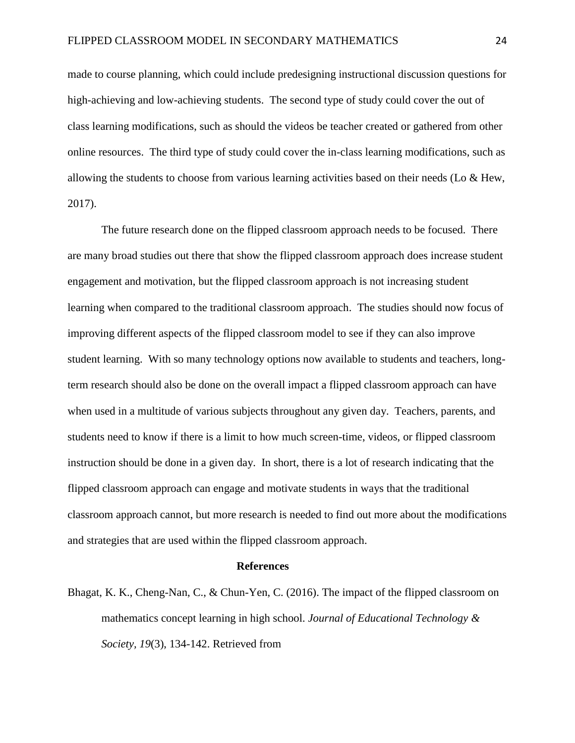made to course planning, which could include predesigning instructional discussion questions for high-achieving and low-achieving students. The second type of study could cover the out of class learning modifications, such as should the videos be teacher created or gathered from other online resources. The third type of study could cover the in-class learning modifications, such as allowing the students to choose from various learning activities based on their needs (Lo & Hew, 2017).

The future research done on the flipped classroom approach needs to be focused. There are many broad studies out there that show the flipped classroom approach does increase student engagement and motivation, but the flipped classroom approach is not increasing student learning when compared to the traditional classroom approach. The studies should now focus of improving different aspects of the flipped classroom model to see if they can also improve student learning. With so many technology options now available to students and teachers, longterm research should also be done on the overall impact a flipped classroom approach can have when used in a multitude of various subjects throughout any given day. Teachers, parents, and students need to know if there is a limit to how much screen-time, videos, or flipped classroom instruction should be done in a given day. In short, there is a lot of research indicating that the flipped classroom approach can engage and motivate students in ways that the traditional classroom approach cannot, but more research is needed to find out more about the modifications and strategies that are used within the flipped classroom approach.

#### **References**

Bhagat, K. K., Cheng-Nan, C., & Chun-Yen, C. (2016). The impact of the flipped classroom on mathematics concept learning in high school. *Journal of Educational Technology & Society, 19*(3), 134-142. Retrieved from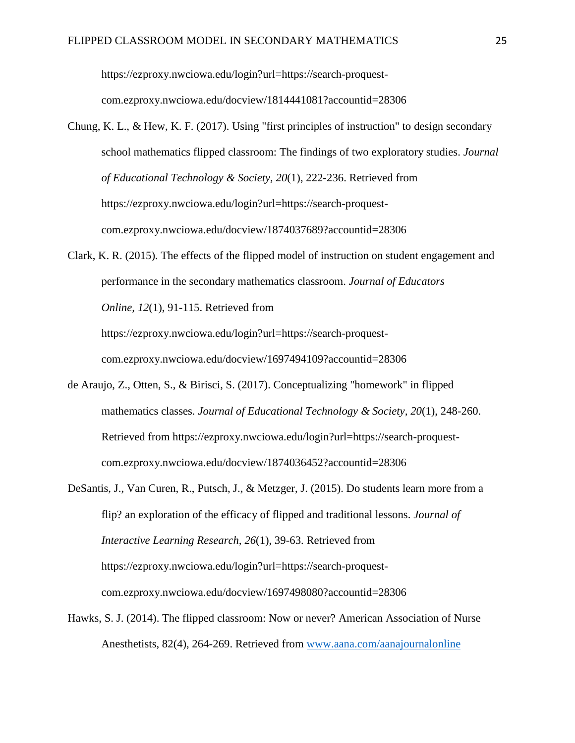[https://ezproxy.nwciowa.edu/login?url=https://search-proquest-](https://ezproxy.nwciowa.edu/login?url=https://search-proquest-com.ezproxy.nwciowa.edu/docview/1814441081?accountid=28306)

[com.ezproxy.nwciowa.edu/docview/1814441081?accountid=28306](https://ezproxy.nwciowa.edu/login?url=https://search-proquest-com.ezproxy.nwciowa.edu/docview/1814441081?accountid=28306)

- Chung, K. L., & Hew, K. F. (2017). Using "first principles of instruction" to design secondary school mathematics flipped classroom: The findings of two exploratory studies. *Journal of Educational Technology & Society, 20*(1), 222-236. Retrieved from [https://ezproxy.nwciowa.edu/login?url=https://search-proquest](https://ezproxy.nwciowa.edu/login?url=https://search-proquest-com.ezproxy.nwciowa.edu/docview/1874037689?accountid=28306)[com.ezproxy.nwciowa.edu/docview/1874037689?accountid=28306](https://ezproxy.nwciowa.edu/login?url=https://search-proquest-com.ezproxy.nwciowa.edu/docview/1874037689?accountid=28306)
- Clark, K. R. (2015). The effects of the flipped model of instruction on student engagement and performance in the secondary mathematics classroom. *Journal of Educators Online, 12*(1), 91-115. Retrieved from [https://ezproxy.nwciowa.edu/login?url=https://search-proquest](https://ezproxy.nwciowa.edu/login?url=https://search-proquest-com.ezproxy.nwciowa.edu/docview/1697494109?accountid=28306)[com.ezproxy.nwciowa.edu/docview/1697494109?accountid=28306](https://ezproxy.nwciowa.edu/login?url=https://search-proquest-com.ezproxy.nwciowa.edu/docview/1697494109?accountid=28306)
- de Araujo, Z., Otten, S., & Birisci, S. (2017). Conceptualizing "homework" in flipped mathematics classes. *Journal of Educational Technology & Society, 20*(1), 248-260. Retrieved from [https://ezproxy.nwciowa.edu/login?url=https://search-proquest](https://ezproxy.nwciowa.edu/login?url=https://search-proquest-com.ezproxy.nwciowa.edu/docview/1874036452?accountid=28306)[com.ezproxy.nwciowa.edu/docview/1874036452?accountid=28306](https://ezproxy.nwciowa.edu/login?url=https://search-proquest-com.ezproxy.nwciowa.edu/docview/1874036452?accountid=28306)
- DeSantis, J., Van Curen, R., Putsch, J., & Metzger, J. (2015). Do students learn more from a flip? an exploration of the efficacy of flipped and traditional lessons. *Journal of Interactive Learning Research, 26*(1), 39-63. Retrieved from https://ezproxy.nwciowa.edu/login?url=https://search-proquestcom.ezproxy.nwciowa.edu/docview/1697498080?accountid=28306
- Hawks, S. J. (2014). The flipped classroom: Now or never? American Association of Nurse Anesthetists, 82(4), 264-269. Retrieved from [www.aana.com/aanajournalonline](http://www.aana.com/aanajournalonline)